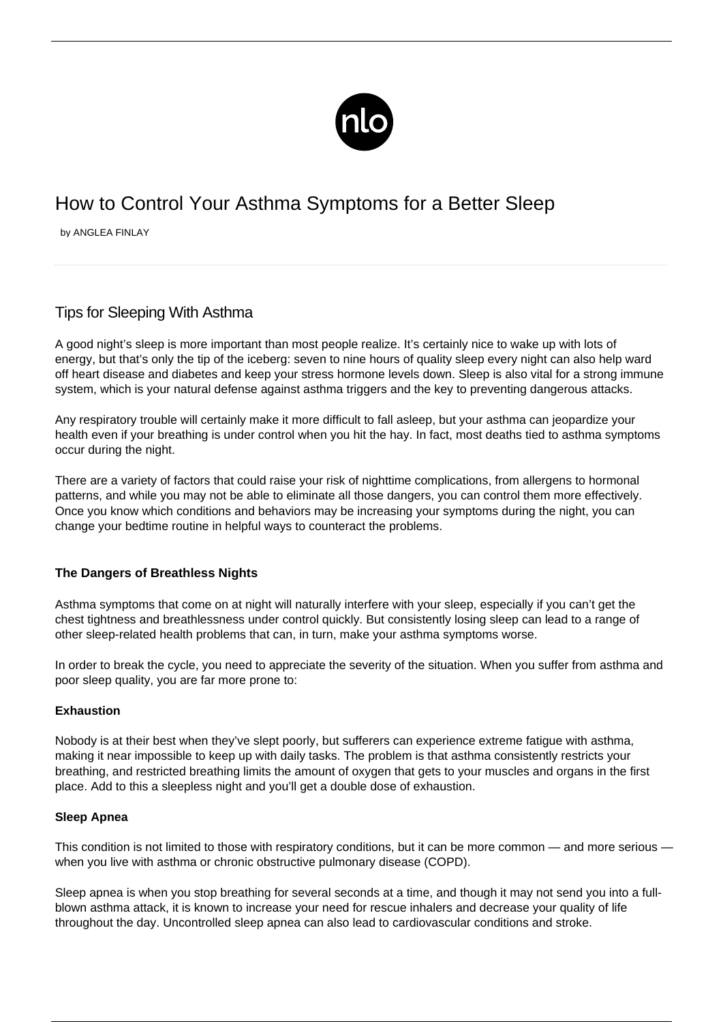

# How to Control Your Asthma Symptoms for a Better Sleep

by ANGLEA FINLAY

# Tips for Sleeping With Asthma

A good night's sleep is more important than most people realize. It's certainly nice to wake up with lots of energy, but that's only the tip of the iceberg: seven to nine hours of quality sleep every night can also help ward off heart disease and diabetes and keep your stress hormone levels down. Sleep is also vital for a strong immune system, which is your natural defense against asthma triggers and the key to preventing dangerous attacks.

Any respiratory trouble will certainly make it more difficult to fall asleep, but your asthma can jeopardize your health even if your breathing is under control when you hit the hay. In fact, most deaths tied to asthma symptoms occur during the night.

There are a variety of factors that could raise your risk of nighttime complications, from allergens to hormonal patterns, and while you may not be able to eliminate all those dangers, you can control them more effectively. Once you know which conditions and behaviors may be increasing your symptoms during the night, you can change your bedtime routine in helpful ways to counteract the problems.

## **The Dangers of Breathless Nights**

Asthma symptoms that come on at night will naturally interfere with your sleep, especially if you can't get the chest tightness and breathlessness under control quickly. But consistently losing sleep can lead to a range of other sleep-related health problems that can, in turn, make your asthma symptoms worse.

In order to break the cycle, you need to appreciate the severity of the situation. When you suffer from asthma and poor sleep quality, you are far more prone to:

### **Exhaustion**

Nobody is at their best when they've slept poorly, but sufferers can experience extreme [fatigue with asthma](/asthma-fatigue/), making it near impossible to keep up with daily tasks. The problem is that asthma consistently restricts your breathing, and restricted breathing limits the amount of oxygen that gets to your muscles and organs in the first place. Add to this a sleepless night and you'll get a double dose of exhaustion.

### **Sleep Apnea**

This condition is not limited to those with respiratory conditions, but it can be more common — and more serious when you live with asthma or chronic obstructive pulmonary disease (COPD).

Sleep apnea is when you stop breathing for several seconds at a time, and though it may not send you into a fullblown asthma attack, it is known to increase your need for rescue inhalers and decrease your quality of life throughout the day. Uncontrolled sleep apnea can also lead to cardiovascular conditions and stroke.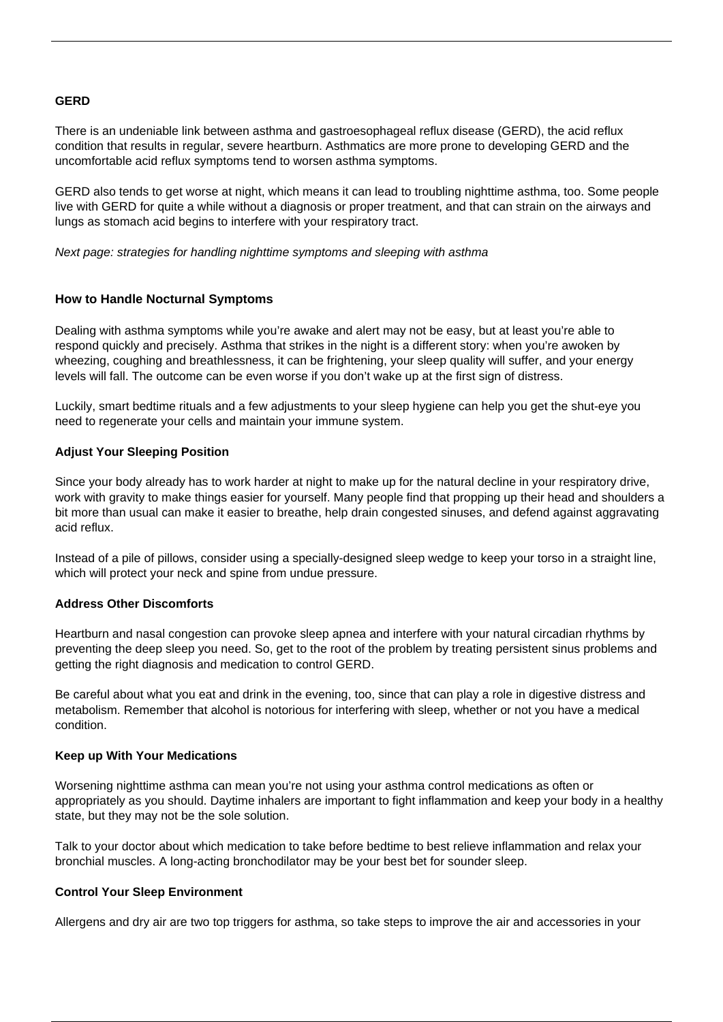#### **GERD**

There is an undeniable link between asthma and gastroesophageal reflux disease (GERD), the acid reflux condition that results in regular, severe heartburn. Asthmatics are more prone to developing GERD and the uncomfortable acid reflux symptoms tend to worsen asthma symptoms.

GERD also tends to get worse at night, which means it can lead to troubling nighttime asthma, too. Some people live with GERD for quite a while without a diagnosis or proper treatment, and that can strain on the airways and lungs as stomach acid begins to interfere with your respiratory tract.

Next page: strategies for handling nighttime symptoms and sleeping with asthma

### **How to Handle Nocturnal Symptoms**

Dealing with asthma symptoms while you're awake and alert may not be easy, but at least you're able to respond quickly and precisely. Asthma that strikes in the night is a different story: when you're awoken by wheezing, coughing and breathlessness, it can be frightening, your sleep quality will suffer, and your energy levels will fall. The outcome can be even worse if you don't wake up at the first sign of distress.

Luckily, smart bedtime rituals and a few adjustments to your sleep hygiene can help you get the shut-eye you need to regenerate your cells and maintain your immune system.

#### **Adjust Your Sleeping Position**

Since your body already has to work harder at night to make up for the natural decline in your respiratory drive, work with gravity to make things easier for yourself. Many people find that propping up their head and shoulders a bit more than usual can make it easier to breathe, help drain congested sinuses, and defend against aggravating acid reflux.

Instead of a pile of pillows, consider using a specially-designed sleep wedge to keep your torso in a straight line, which will protect your neck and spine from undue pressure.

#### **Address Other Discomforts**

Heartburn and nasal congestion can provoke sleep apnea and interfere with your natural circadian rhythms by preventing the deep sleep you need. So, get to the root of the problem by treating persistent sinus problems and getting the right diagnosis and medication to control GERD.

Be careful about what you eat and drink in the evening, too, since that can play a role in digestive distress and metabolism. Remember that alcohol is notorious for interfering with sleep, whether or not you have a medical condition.

#### **Keep up With Your Medications**

Worsening nighttime asthma can mean you're not using your asthma control medications as often or appropriately as you should. Daytime inhalers are important to fight inflammation and keep your body in a healthy state, but they may not be the sole solution.

Talk to your doctor about which medication to take before bedtime to best relieve inflammation and relax your bronchial muscles. A long-acting bronchodilator may be your best bet for sounder sleep.

#### **Control Your Sleep Environment**

[Allergens](/indoor-allergens/) and dry air are two top triggers for asthma, so take steps to improve the air and accessories in your